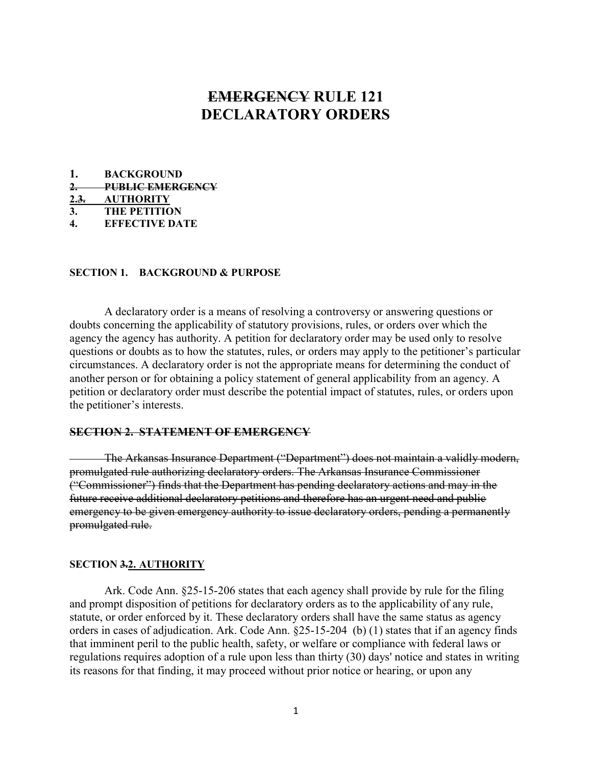# EMERGENCY RULE 121 DECLARATORY ORDERS

|             | <b>BACKGROUND</b>       |
|-------------|-------------------------|
| $2-$        | <b>PUBLIC EMERGENCY</b> |
| <u>2.3.</u> | AUTHORITY               |
| 3.          | <b>THE PETITION</b>     |
|             | <b>EFFECTIVE DATE</b>   |

## SECTION 1. BACKGROUND & PURPOSE

 A declaratory order is a means of resolving a controversy or answering questions or doubts concerning the applicability of statutory provisions, rules, or orders over which the agency the agency has authority. A petition for declaratory order may be used only to resolve questions or doubts as to how the statutes, rules, or orders may apply to the petitioner's particular circumstances. A declaratory order is not the appropriate means for determining the conduct of another person or for obtaining a policy statement of general applicability from an agency. A petition or declaratory order must describe the potential impact of statutes, rules, or orders upon the petitioner's interests.

## SECTION 2. STATEMENT OF EMERGENCY

 The Arkansas Insurance Department ("Department") does not maintain a validly modern, promulgated rule authorizing declaratory orders. The Arkansas Insurance Commissioner ("Commissioner") finds that the Department has pending declaratory actions and may in the future receive additional declaratory petitions and therefore has an urgent need and public emergency to be given emergency authority to issue declaratory orders, pending a permanently promulgated rule.

#### SECTION 3.2. AUTHORITY

 Ark. Code Ann. §25-15-206 states that each agency shall provide by rule for the filing and prompt disposition of petitions for declaratory orders as to the applicability of any rule, statute, or order enforced by it. These declaratory orders shall have the same status as agency orders in cases of adjudication. Ark. Code Ann. §25-15-204 (b) (1) states that if an agency finds that imminent peril to the public health, safety, or welfare or compliance with federal laws or regulations requires adoption of a rule upon less than thirty (30) days' notice and states in writing its reasons for that finding, it may proceed without prior notice or hearing, or upon any